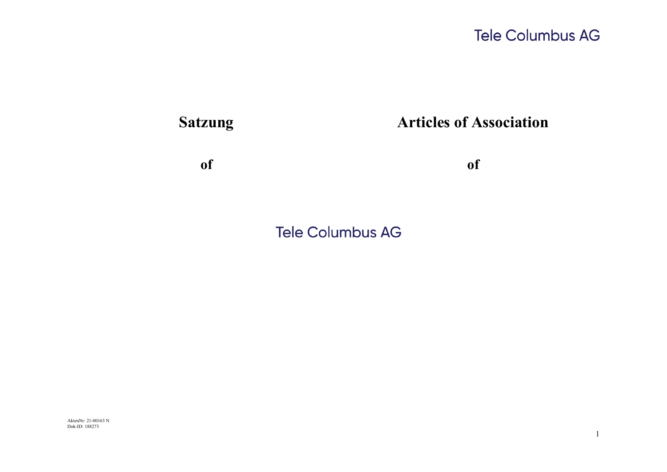

**Tele Columbus AG** 

AktenNr: 21-00163 N Dok-ID: 188273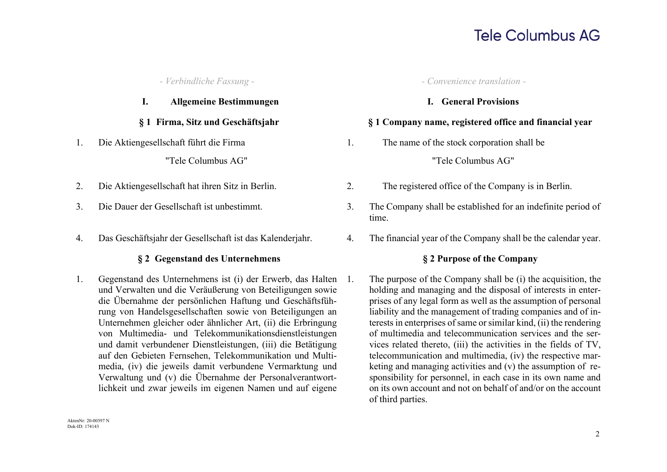### **I. Allgemeine Bestimmungen I. General Provisions**

1. Die Aktiengesellschaft führt die Firma

"Tele Columbus AG"

- 
- 
- 

### **§ 2 Gegenstand des Unternehmens § 2 Purpose of the Company**

1. Gegenstand des Unternehmens ist (i) der Erwerb, das Halten und Verwalten und die Veräußerung von Beteiligungen sowie die Übernahme der persönlichen Haftung und Geschäftsführung von Handelsgesellschaften sowie von Beteiligungen an Unternehmen gleicher oder ähnlicher Art, (ii) die Erbringung von Multimedia- und Telekommunikationsdienstleistungen und damit verbundener Dienstleistungen, (iii) die Betätigung auf den Gebieten Fernsehen, Telekommunikation und Multimedia, (iv) die jeweils damit verbundene Vermarktung und Verwaltung und (v) die Übernahme der Personalverantwortlichkeit und zwar jeweils im eigenen Namen und auf eigene

*- Verbindliche Fassung - - Convenience translation -*

### **§ 1 Firma, Sitz und Geschäftsjahr § 1 Company name, registered office and financial year**

1. The name of the stock corporation shall be

### "Tele Columbus AG"

- 2. Die Aktiengesellschaft hat ihren Sitz in Berlin. 2. The registered office of the Company is in Berlin.
- 3. Die Dauer der Gesellschaft ist unbestimmt. 3. The Company shall be established for an indefinite period of time.
- 4. Das Geschäftsjahr der Gesellschaft ist das Kalenderjahr. 4. The financial year of the Company shall be the calendar year.

1. The purpose of the Company shall be (i) the acquisition, the holding and managing and the disposal of interests in enterprises of any legal form as well as the assumption of personal liability and the management of trading companies and of interests in enterprises of same or similar kind, (ii) the rendering of multimedia and telecommunication services and the services related thereto, (iii) the activities in the fields of TV, telecommunication and multimedia, (iv) the respective marketing and managing activities and (v) the assumption of responsibility for personnel, in each case in its own name and on its own account and not on behalf of and/or on the account of third parties.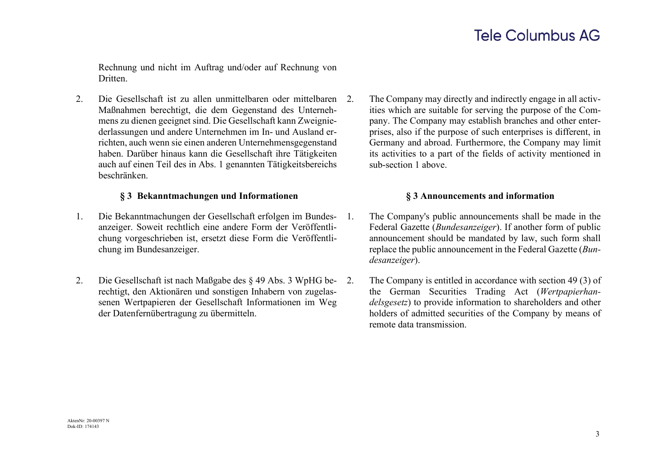Rechnung und nicht im Auftrag und/oder auf Rechnung von **Dritten** 

2. Die Gesellschaft ist zu allen unmittelbaren oder mittelbaren Maßnahmen berechtigt, die dem Gegenstand des Unternehmens zu dienen geeignet sind. Die Gesellschaft kann Zweigniederlassungen und andere Unternehmen im In- und Ausland errichten, auch wenn sie einen anderen Unternehmensgegenstand haben. Darüber hinaus kann die Gesellschaft ihre Tätigkeiten auch auf einen Teil des in Abs. 1 genannten Tätigkeitsbereichs beschränken.

### **§ 3 Bekanntmachungen und Informationen § 3 Announcements and information**

- 1. Die Bekanntmachungen der Gesellschaft erfolgen im Bundesanzeiger. Soweit rechtlich eine andere Form der Veröffentlichung vorgeschrieben ist, ersetzt diese Form die Veröffentlichung im Bundesanzeiger.
- 2. Die Gesellschaft ist nach Maßgabe des § 49 Abs. 3 WpHG berechtigt, den Aktionären und sonstigen Inhabern von zugelassenen Wertpapieren der Gesellschaft Informationen im Weg der Datenfernübertragung zu übermitteln.

The Company may directly and indirectly engage in all activities which are suitable for serving the purpose of the Company. The Company may establish branches and other enterprises, also if the purpose of such enterprises is different, in Germany and abroad. Furthermore, the Company may limit its activities to a part of the fields of activity mentioned in sub-section 1 above.

- 1. The Company's public announcements shall be made in the Federal Gazette (*Bundesanzeiger*). If another form of public announcement should be mandated by law, such form shall replace the public announcement in the Federal Gazette (*Bundesanzeiger*).
	- The Company is entitled in accordance with section 49 (3) of the German Securities Trading Act (*Wertpapierhandelsgesetz*) to provide information to shareholders and other holders of admitted securities of the Company by means of remote data transmission.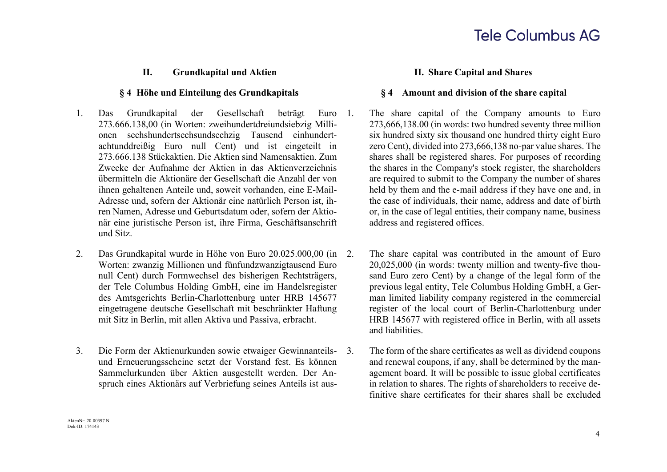### **II. Grundkapital und Aktien II. Share Capital and Shares**

- 1. Das Grundkapital der Gesellschaft beträgt Euro 273.666.138,00 (in Worten: zweihundertdreiundsiebzig Millionen sechshundertsechsundsechzig Tausend einhundertachtunddreißig Euro null Cent) und ist eingeteilt in 273.666.138 Stückaktien. Die Aktien sind Namensaktien. Zum Zwecke der Aufnahme der Aktien in das Aktienverzeichnis übermitteln die Aktionäre der Gesellschaft die Anzahl der von ihnen gehaltenen Anteile und, soweit vorhanden, eine E-Mail-Adresse und, sofern der Aktionär eine natürlich Person ist, ihren Namen, Adresse und Geburtsdatum oder, sofern der Aktionär eine juristische Person ist, ihre Firma, Geschäftsanschrift und Sitz.
- 2. Das Grundkapital wurde in Höhe von Euro 20.025.000,00 (in Worten: zwanzig Millionen und fünfundzwanzigtausend Euro null Cent) durch Formwechsel des bisherigen Rechtsträgers, der Tele Columbus Holding GmbH, eine im Handelsregister des Amtsgerichts Berlin-Charlottenburg unter HRB 145677 eingetragene deutsche Gesellschaft mit beschränkter Haftung mit Sitz in Berlin, mit allen Aktiva und Passiva, erbracht.
- 3. Die Form der Aktienurkunden sowie etwaiger Gewinnanteilsund Erneuerungsscheine setzt der Vorstand fest. Es können Sammelurkunden über Aktien ausgestellt werden. Der Anspruch eines Aktionärs auf Verbriefung seines Anteils ist aus-

### **§ 4 Höhe und Einteilung des Grundkapitals § 4 Amount and division of the share capital**

- The share capital of the Company amounts to Euro 273,666,138.00 (in words: two hundred seventy three million six hundred sixty six thousand one hundred thirty eight Euro zero Cent), divided into 273,666,138 no-par value shares. The shares shall be registered shares. For purposes of recording the shares in the Company's stock register, the shareholders are required to submit to the Company the number of shares held by them and the e-mail address if they have one and, in the case of individuals, their name, address and date of birth or, in the case of legal entities, their company name, business address and registered offices.
- The share capital was contributed in the amount of Euro 20,025,000 (in words: twenty million and twenty-five thousand Euro zero Cent) by a change of the legal form of the previous legal entity, Tele Columbus Holding GmbH, a German limited liability company registered in the commercial register of the local court of Berlin-Charlottenburg under HRB 145677 with registered office in Berlin, with all assets and liabilities.
- 3. The form of the share certificates as well as dividend coupons and renewal coupons, if any, shall be determined by the management board. It will be possible to issue global certificates in relation to shares. The rights of shareholders to receive definitive share certificates for their shares shall be excluded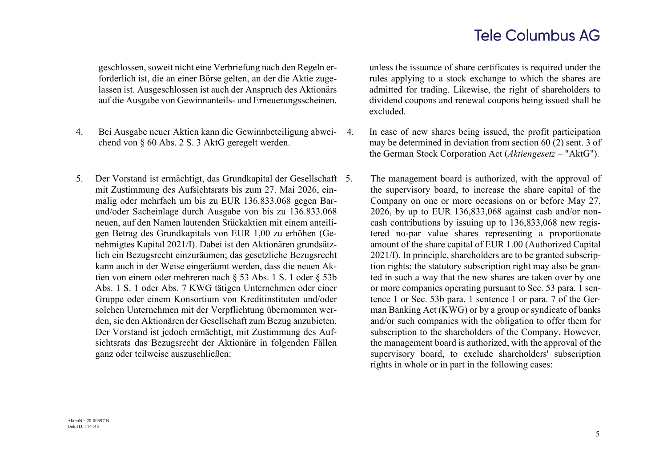geschlossen, soweit nicht eine Verbriefung nach den Regeln erforderlich ist, die an einer Börse gelten, an der die Aktie zugelassen ist. Ausgeschlossen ist auch der Anspruch des Aktionärs auf die Ausgabe von Gewinnanteils- und Erneuerungsscheinen.

- 4. Bei Ausgabe neuer Aktien kann die Gewinnbeteiligung abweichend von § 60 Abs. 2 S. 3 AktG geregelt werden.
- 5. Der Vorstand ist ermächtigt, das Grundkapital der Gesellschaft mit Zustimmung des Aufsichtsrats bis zum 27. Mai 2026, einmalig oder mehrfach um bis zu EUR 136.833.068 gegen Barund/oder Sacheinlage durch Ausgabe von bis zu 136.833.068 neuen, auf den Namen lautenden Stückaktien mit einem anteiligen Betrag des Grundkapitals von EUR 1,00 zu erhöhen (Genehmigtes Kapital 2021/I). Dabei ist den Aktionären grundsätzlich ein Bezugsrecht einzuräumen; das gesetzliche Bezugsrecht kann auch in der Weise eingeräumt werden, dass die neuen Aktien von einem oder mehreren nach § 53 Abs. 1 S. 1 oder § 53b Abs. 1 S. 1 oder Abs. 7 KWG tätigen Unternehmen oder einer Gruppe oder einem Konsortium von Kreditinstituten und/oder solchen Unternehmen mit der Verpflichtung übernommen werden, sie den Aktionären der Gesellschaft zum Bezug anzubieten. Der Vorstand ist jedoch ermächtigt, mit Zustimmung des Aufsichtsrats das Bezugsrecht der Aktionäre in folgenden Fällen ganz oder teilweise auszuschließen:

unless the issuance of share certificates is required under the rules applying to a stock exchange to which the shares are admitted for trading. Likewise, the right of shareholders to dividend coupons and renewal coupons being issued shall be excluded.

- 4. In case of new shares being issued, the profit participation may be determined in deviation from section 60 (2) sent. 3 of the German Stock Corporation Act (*Aktiengesetz* – "AktG").
	- The management board is authorized, with the approval of the supervisory board, to increase the share capital of the Company on one or more occasions on or before May 27, 2026, by up to EUR 136,833,068 against cash and/or noncash contributions by issuing up to 136,833,068 new registered no-par value shares representing a proportionate amount of the share capital of EUR 1.00 (Authorized Capital 2021/I). In principle, shareholders are to be granted subscription rights; the statutory subscription right may also be granted in such a way that the new shares are taken over by one or more companies operating pursuant to Sec. 53 para. 1 sentence 1 or Sec. 53b para. 1 sentence 1 or para. 7 of the German Banking Act (KWG) or by a group or syndicate of banks and/or such companies with the obligation to offer them for subscription to the shareholders of the Company. However, the management board is authorized, with the approval of the supervisory board, to exclude shareholders' subscription rights in whole or in part in the following cases: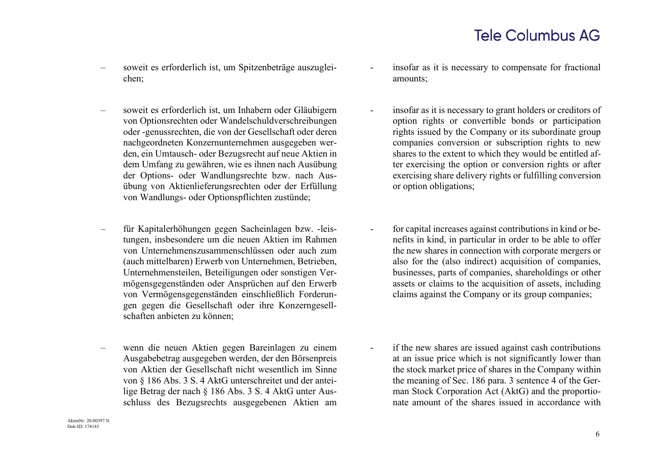- soweit es erforderlich ist, um Spitzenbeträge auszugleichen;
- soweit es erforderlich ist, um Inhabern oder Gläubigern von Optionsrechten oder Wandelschuldverschreibungen oder -genussrechten, die von der Gesellschaft oder deren nachgeordneten Konzernunternehmen ausgegeben werden, ein Umtausch- oder Bezugsrecht auf neue Aktien in dem Umfang zu gewähren, wie es ihnen nach Ausübung der Options- oder Wandlungsrechte bzw. nach Ausübung von Aktienlieferungsrechten oder der Erfüllung von Wandlungs- oder Optionspflichten zustünde;
- für Kapitalerhöhungen gegen Sacheinlagen bzw. -leistungen, insbesondere um die neuen Aktien im Rahmen von Unternehmenszusammenschlüssen oder auch zum (auch mittelbaren) Erwerb von Unternehmen, Betrieben, Unternehmensteilen, Beteiligungen oder sonstigen Vermögensgegenständen oder Ansprüchen auf den Erwerb von Vermögensgegenständen einschließlich Forderungen gegen die Gesellschaft oder ihre Konzerngesellschaften anbieten zu können;
- wenn die neuen Aktien gegen Bareinlagen zu einem Ausgabebetrag ausgegeben werden, der den Börsenpreis von Aktien der Gesellschaft nicht wesentlich im Sinne von § 186 Abs. 3 S. 4 AktG unterschreitet und der anteilige Betrag der nach § 186 Abs. 3 S. 4 AktG unter Ausschluss des Bezugsrechts ausgegebenen Aktien am
- AktenNr: 20-00397 N Dok-ID: 174143
- insofar as it is necessary to compensate for fractional amounts;
- insofar as it is necessary to grant holders or creditors of option rights or convertible bonds or participation rights issued by the Company or its subordinate group companies conversion or subscription rights to new shares to the extent to which they would be entitled after exercising the option or conversion rights or after exercising share delivery rights or fulfilling conversion or option obligations;
- for capital increases against contributions in kind or benefits in kind, in particular in order to be able to offer the new shares in connection with corporate mergers or also for the (also indirect) acquisition of companies, businesses, parts of companies, shareholdings or other assets or claims to the acquisition of assets, including claims against the Company or its group companies;
- if the new shares are issued against cash contributions at an issue price which is not significantly lower than the stock market price of shares in the Company within the meaning of Sec. 186 para. 3 sentence 4 of the German Stock Corporation Act (AktG) and the proportionate amount of the shares issued in accordance with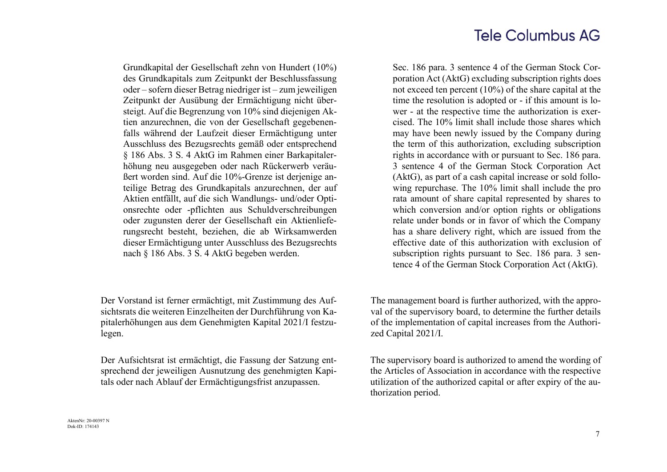Grundkapital der Gesellschaft zehn von Hundert (10%) des Grundkapitals zum Zeitpunkt der Beschlussfassung oder – sofern dieser Betrag niedriger ist – zum jeweiligen Zeitpunkt der Ausübung der Ermächtigung nicht übersteigt. Auf die Begrenzung von 10% sind diejenigen Aktien anzurechnen, die von der Gesellschaft gegebenenfalls während der Laufzeit dieser Ermächtigung unter Ausschluss des Bezugsrechts gemäß oder entsprechend § 186 Abs. 3 S. 4 AktG im Rahmen einer Barkapitalerhöhung neu ausgegeben oder nach Rückerwerb veräußert worden sind. Auf die 10%-Grenze ist derjenige anteilige Betrag des Grundkapitals anzurechnen, der auf Aktien entfällt, auf die sich Wandlungs- und/oder Optionsrechte oder -pflichten aus Schuldverschreibungen oder zugunsten derer der Gesellschaft ein Aktienlieferungsrecht besteht, beziehen, die ab Wirksamwerden dieser Ermächtigung unter Ausschluss des Bezugsrechts nach § 186 Abs. 3 S. 4 AktG begeben werden.

Der Vorstand ist ferner ermächtigt, mit Zustimmung des Aufsichtsrats die weiteren Einzelheiten der Durchführung von Kapitalerhöhungen aus dem Genehmigten Kapital 2021/I festzulegen.

Der Aufsichtsrat ist ermächtigt, die Fassung der Satzung entsprechend der jeweiligen Ausnutzung des genehmigten Kapitals oder nach Ablauf der Ermächtigungsfrist anzupassen.

Sec. 186 para. 3 sentence 4 of the German Stock Corporation Act (AktG) excluding subscription rights does not exceed ten percent (10%) of the share capital at the time the resolution is adopted or - if this amount is lower - at the respective time the authorization is exercised. The 10% limit shall include those shares which may have been newly issued by the Company during the term of this authorization, excluding subscription rights in accordance with or pursuant to Sec. 186 para. 3 sentence 4 of the German Stock Corporation Act (AktG), as part of a cash capital increase or sold following repurchase. The 10% limit shall include the pro rata amount of share capital represented by shares to which conversion and/or option rights or obligations relate under bonds or in favor of which the Company has a share delivery right, which are issued from the effective date of this authorization with exclusion of subscription rights pursuant to Sec. 186 para. 3 sentence 4 of the German Stock Corporation Act (AktG).

The management board is further authorized, with the approval of the supervisory board, to determine the further details of the implementation of capital increases from the Authorized Capital 2021/I.

The supervisory board is authorized to amend the wording of the Articles of Association in accordance with the respective utilization of the authorized capital or after expiry of the authorization period.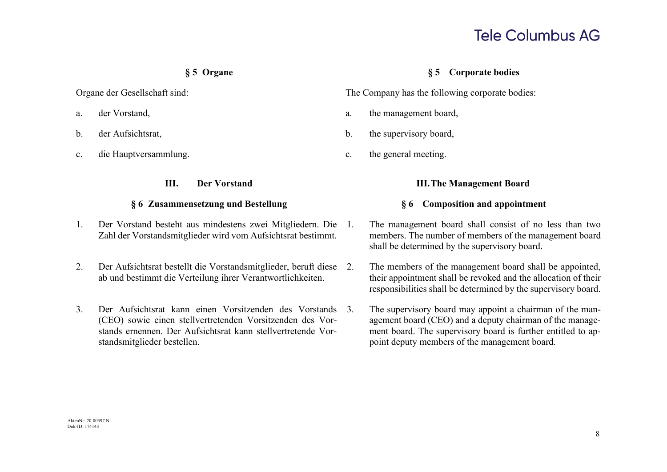- 
- 
- c. die Hauptversammlung. c. the general meeting.

### **§ 6 Zusammensetzung und Bestellung § 6 Composition and appointment**

- 1. Der Vorstand besteht aus mindestens zwei Mitgliedern. Die Zahl der Vorstandsmitglieder wird vom Aufsichtsrat bestimmt.
- 2. Der Aufsichtsrat bestellt die Vorstandsmitglieder, beruft diese ab und bestimmt die Verteilung ihrer Verantwortlichkeiten.
- 3. Der Aufsichtsrat kann einen Vorsitzenden des Vorstands (CEO) sowie einen stellvertretenden Vorsitzenden des Vorstands ernennen. Der Aufsichtsrat kann stellvertretende Vorstandsmitglieder bestellen.

## **§ 5 Organe § 5 Corporate bodies**

Organe der Gesellschaft sind: The Company has the following corporate bodies:

- a. der Vorstand, a. the management board,
- b. der Aufsichtsrat, b. the supervisory board,
	-

## **III. Der Vorstand III.The Management Board**

- 1. The management board shall consist of no less than two members. The number of members of the management board shall be determined by the supervisory board.
	- The members of the management board shall be appointed, their appointment shall be revoked and the allocation of their responsibilities shall be determined by the supervisory board.
- The supervisory board may appoint a chairman of the management board (CEO) and a deputy chairman of the management board. The supervisory board is further entitled to appoint deputy members of the management board.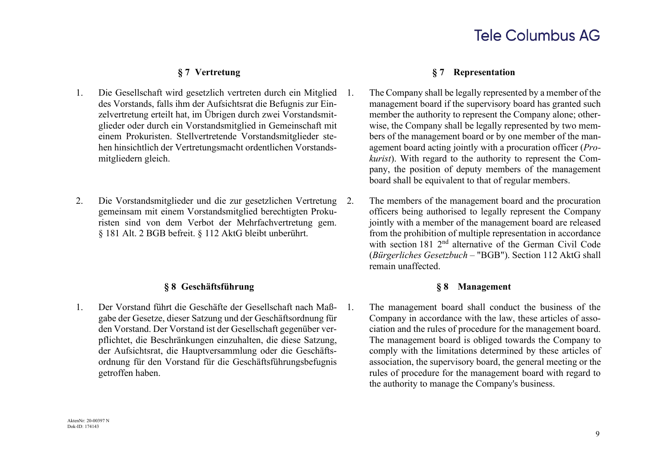- 1. Die Gesellschaft wird gesetzlich vertreten durch ein Mitglied des Vorstands, falls ihm der Aufsichtsrat die Befugnis zur Einzelvertretung erteilt hat, im Übrigen durch zwei Vorstandsmitglieder oder durch ein Vorstandsmitglied in Gemeinschaft mit einem Prokuristen. Stellvertretende Vorstandsmitglieder stehen hinsichtlich der Vertretungsmacht ordentlichen Vorstandsmitgliedern gleich.
- 2. Die Vorstandsmitglieder und die zur gesetzlichen Vertretung gemeinsam mit einem Vorstandsmitglied berechtigten Prokuristen sind von dem Verbot der Mehrfachvertretung gem. § 181 Alt. 2 BGB befreit. § 112 AktG bleibt unberührt.

## **§ 8 Geschäftsführung § 8 Management**

1. Der Vorstand führt die Geschäfte der Gesellschaft nach Maßgabe der Gesetze, dieser Satzung und der Geschäftsordnung für den Vorstand. Der Vorstand ist der Gesellschaft gegenüber verpflichtet, die Beschränkungen einzuhalten, die diese Satzung, der Aufsichtsrat, die Hauptversammlung oder die Geschäftsordnung für den Vorstand für die Geschäftsführungsbefugnis getroffen haben.

### **§ 7 Vertretung § 7 Representation**

- 1. The Company shall be legally represented by a member of the management board if the supervisory board has granted such member the authority to represent the Company alone; otherwise, the Company shall be legally represented by two members of the management board or by one member of the management board acting jointly with a procuration officer (*Prokurist*). With regard to the authority to represent the Company, the position of deputy members of the management board shall be equivalent to that of regular members.
	- The members of the management board and the procuration officers being authorised to legally represent the Company jointly with a member of the management board are released from the prohibition of multiple representation in accordance with section 181 2<sup>nd</sup> alternative of the German Civil Code (*Bürgerliches Gesetzbuch* – "BGB"). Section 112 AktG shall remain unaffected.

1. The management board shall conduct the business of the Company in accordance with the law, these articles of association and the rules of procedure for the management board. The management board is obliged towards the Company to comply with the limitations determined by these articles of association, the supervisory board, the general meeting or the rules of procedure for the management board with regard to the authority to manage the Company's business.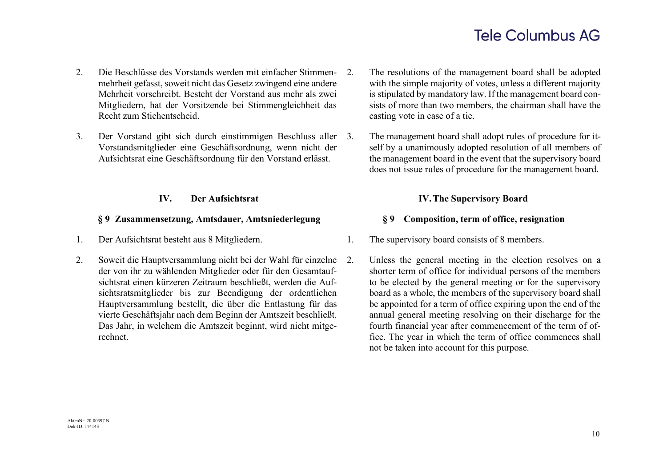- 2. Die Beschlüsse des Vorstands werden mit einfacher Stimmenmehrheit gefasst, soweit nicht das Gesetz zwingend eine andere Mehrheit vorschreibt. Besteht der Vorstand aus mehr als zwei Mitgliedern, hat der Vorsitzende bei Stimmengleichheit das Recht zum Stichentscheid.
- 3. Der Vorstand gibt sich durch einstimmigen Beschluss aller Vorstandsmitglieder eine Geschäftsordnung, wenn nicht der Aufsichtsrat eine Geschäftsordnung für den Vorstand erlässt.

### **§ 9 Zusammensetzung, Amtsdauer, Amtsniederlegung § 9 Composition, term of office, resignation**

- 
- 2. Soweit die Hauptversammlung nicht bei der Wahl für einzelne der von ihr zu wählenden Mitglieder oder für den Gesamtaufsichtsrat einen kürzeren Zeitraum beschließt, werden die Aufsichtsratsmitglieder bis zur Beendigung der ordentlichen Hauptversammlung bestellt, die über die Entlastung für das vierte Geschäftsjahr nach dem Beginn der Amtszeit beschließt. Das Jahr, in welchem die Amtszeit beginnt, wird nicht mitgerechnet.
- 2. The resolutions of the management board shall be adopted with the simple majority of votes, unless a different majority is stipulated by mandatory law. If the management board consists of more than two members, the chairman shall have the casting vote in case of a tie.
	- The management board shall adopt rules of procedure for itself by a unanimously adopted resolution of all members of the management board in the event that the supervisory board does not issue rules of procedure for the management board.

## **IV. Der Aufsichtsrat IV.The Supervisory Board**

- 1. Der Aufsichtsrat besteht aus 8 Mitgliedern. 1. The supervisory board consists of 8 members.
	- 2. Unless the general meeting in the election resolves on a shorter term of office for individual persons of the members to be elected by the general meeting or for the supervisory board as a whole, the members of the supervisory board shall be appointed for a term of office expiring upon the end of the annual general meeting resolving on their discharge for the fourth financial year after commencement of the term of office. The year in which the term of office commences shall not be taken into account for this purpose.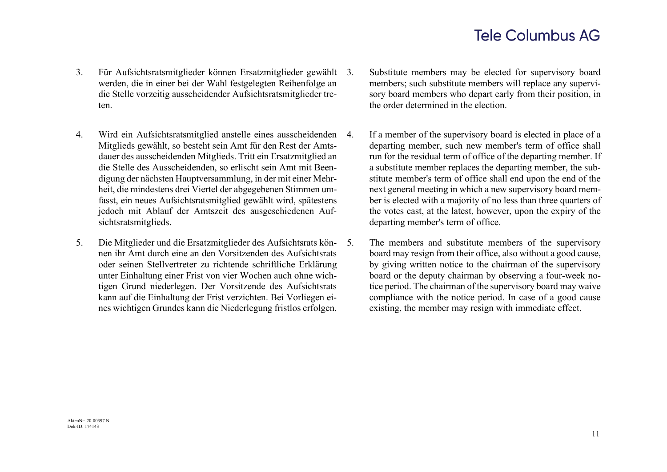- 3. Für Aufsichtsratsmitglieder können Ersatzmitglieder gewählt werden, die in einer bei der Wahl festgelegten Reihenfolge an die Stelle vorzeitig ausscheidender Aufsichtsratsmitglieder treten.
- 4. Wird ein Aufsichtsratsmitglied anstelle eines ausscheidenden Mitglieds gewählt, so besteht sein Amt für den Rest der Amtsdauer des ausscheidenden Mitglieds. Tritt ein Ersatzmitglied an die Stelle des Ausscheidenden, so erlischt sein Amt mit Beendigung der nächsten Hauptversammlung, in der mit einer Mehrheit, die mindestens drei Viertel der abgegebenen Stimmen umfasst, ein neues Aufsichtsratsmitglied gewählt wird, spätestens jedoch mit Ablauf der Amtszeit des ausgeschiedenen Aufsichtsratsmitglieds.
- 5. Die Mitglieder und die Ersatzmitglieder des Aufsichtsrats können ihr Amt durch eine an den Vorsitzenden des Aufsichtsrats oder seinen Stellvertreter zu richtende schriftliche Erklärung unter Einhaltung einer Frist von vier Wochen auch ohne wichtigen Grund niederlegen. Der Vorsitzende des Aufsichtsrats kann auf die Einhaltung der Frist verzichten. Bei Vorliegen eines wichtigen Grundes kann die Niederlegung fristlos erfolgen.
- Substitute members may be elected for supervisory board members; such substitute members will replace any supervisory board members who depart early from their position, in the order determined in the election.
- If a member of the supervisory board is elected in place of a departing member, such new member's term of office shall run for the residual term of office of the departing member. If a substitute member replaces the departing member, the substitute member's term of office shall end upon the end of the next general meeting in which a new supervisory board member is elected with a majority of no less than three quarters of the votes cast, at the latest, however, upon the expiry of the departing member's term of office.
- 5. The members and substitute members of the supervisory board may resign from their office, also without a good cause, by giving written notice to the chairman of the supervisory board or the deputy chairman by observing a four-week notice period. The chairman of the supervisory board may waive compliance with the notice period. In case of a good cause existing, the member may resign with immediate effect.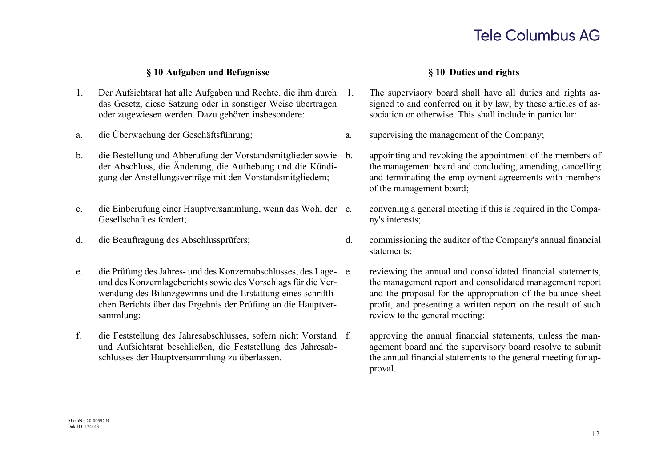### **§ 10 Aufgaben und Befugnisse § 10 Duties and rights**

- 1. Der Aufsichtsrat hat alle Aufgaben und Rechte, die ihm durch das Gesetz, diese Satzung oder in sonstiger Weise übertragen oder zugewiesen werden. Dazu gehören insbesondere:
- 
- b. die Bestellung und Abberufung der Vorstandsmitglieder sowie der Abschluss, die Änderung, die Aufhebung und die Kündigung der Anstellungsverträge mit den Vorstandsmitgliedern;
- c. die Einberufung einer Hauptversammlung, wenn das Wohl der Gesellschaft es fordert;
- 
- e. die Prüfung des Jahres- und des Konzernabschlusses, des Lageund des Konzernlageberichts sowie des Vorschlags für die Verwendung des Bilanzgewinns und die Erstattung eines schriftlichen Berichts über das Ergebnis der Prüfung an die Hauptversammlung;
- f. die Feststellung des Jahresabschlusses, sofern nicht Vorstand und Aufsichtsrat beschließen, die Feststellung des Jahresabschlusses der Hauptversammlung zu überlassen.

- 1. The supervisory board shall have all duties and rights assigned to and conferred on it by law, by these articles of association or otherwise. This shall include in particular:
- a. die Überwachung der Geschäftsführung; a. supervising the management of the Company;
	- b. appointing and revoking the appointment of the members of the management board and concluding, amending, cancelling and terminating the employment agreements with members of the management board;
	- convening a general meeting if this is required in the Company's interests;
- d. die Beauftragung des Abschlussprüfers; d. commissioning the auditor of the Company's annual financial statements;
	- reviewing the annual and consolidated financial statements, the management report and consolidated management report and the proposal for the appropriation of the balance sheet profit, and presenting a written report on the result of such review to the general meeting;
	- approving the annual financial statements, unless the management board and the supervisory board resolve to submit the annual financial statements to the general meeting for approval.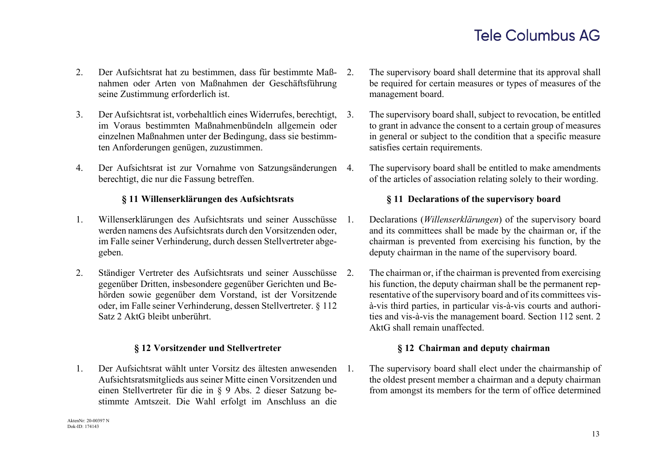- 2. Der Aufsichtsrat hat zu bestimmen, dass für bestimmte Maßnahmen oder Arten von Maßnahmen der Geschäftsführung seine Zustimmung erforderlich ist.
- 3. Der Aufsichtsrat ist, vorbehaltlich eines Widerrufes, berechtigt, im Voraus bestimmten Maßnahmenbündeln allgemein oder einzelnen Maßnahmen unter der Bedingung, dass sie bestimmten Anforderungen genügen, zuzustimmen.
- 4. Der Aufsichtsrat ist zur Vornahme von Satzungsänderungen berechtigt, die nur die Fassung betreffen.

- 1. Willenserklärungen des Aufsichtsrats und seiner Ausschüsse werden namens des Aufsichtsrats durch den Vorsitzenden oder, im Falle seiner Verhinderung, durch dessen Stellvertreter abgegeben.
- 2. Ständiger Vertreter des Aufsichtsrats und seiner Ausschüsse 2. gegenüber Dritten, insbesondere gegenüber Gerichten und Behörden sowie gegenüber dem Vorstand, ist der Vorsitzende oder, im Falle seiner Verhinderung, dessen Stellvertreter. § 112 Satz 2 AktG bleibt unberührt.

1. Der Aufsichtsrat wählt unter Vorsitz des ältesten anwesenden Aufsichtsratsmitglieds aus seiner Mitte einen Vorsitzenden und einen Stellvertreter für die in § 9 Abs. 2 dieser Satzung bestimmte Amtszeit. Die Wahl erfolgt im Anschluss an die

- The supervisory board shall determine that its approval shall be required for certain measures or types of measures of the management board.
- The supervisory board shall, subject to revocation, be entitled to grant in advance the consent to a certain group of measures in general or subject to the condition that a specific measure satisfies certain requirements.
- The supervisory board shall be entitled to make amendments of the articles of association relating solely to their wording.

### **§ 11 Willenserklärungen des Aufsichtsrats § 11 Declarations of the supervisory board**

- 1. Declarations (*Willenserklärungen*) of the supervisory board and its committees shall be made by the chairman or, if the chairman is prevented from exercising his function, by the deputy chairman in the name of the supervisory board.
- The chairman or, if the chairman is prevented from exercising his function, the deputy chairman shall be the permanent representative of the supervisory board and of its committees visà-vis third parties, in particular vis-à-vis courts and authorities and vis-à-vis the management board. Section 112 sent. 2 AktG shall remain unaffected.

### **§ 12 Vorsitzender und Stellvertreter § 12 Chairman and deputy chairman**

1. The supervisory board shall elect under the chairmanship of the oldest present member a chairman and a deputy chairman from amongst its members for the term of office determined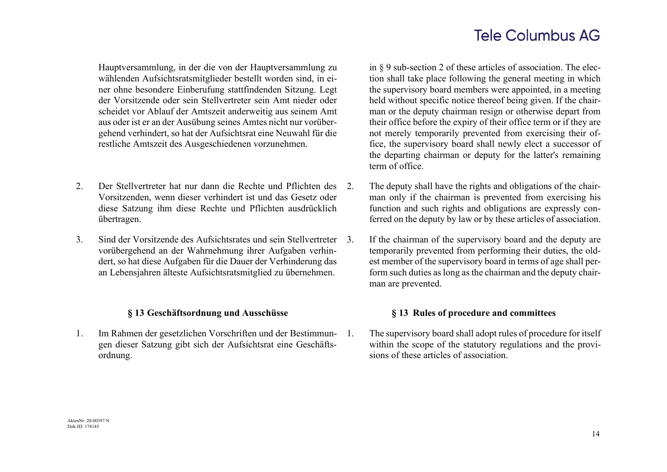Hauptversammlung, in der die von der Hauptversammlung zu wählenden Aufsichtsratsmitglieder bestellt worden sind, in einer ohne besondere Einberufung stattfindenden Sitzung. Legt der Vorsitzende oder sein Stellvertreter sein Amt nieder oder scheidet vor Ablauf der Amtszeit anderweitig aus seinem Amt aus oder ist er an der Ausübung seines Amtes nicht nur vorübergehend verhindert, so hat der Aufsichtsrat eine Neuwahl für die restliche Amtszeit des Ausgeschiedenen vorzunehmen.

- 2. Der Stellvertreter hat nur dann die Rechte und Pflichten des Vorsitzenden, wenn dieser verhindert ist und das Gesetz oder diese Satzung ihm diese Rechte und Pflichten ausdrücklich übertragen.
- 3. Sind der Vorsitzende des Aufsichtsrates und sein Stellvertreter vorübergehend an der Wahrnehmung ihrer Aufgaben verhindert, so hat diese Aufgaben für die Dauer der Verhinderung das an Lebensjahren älteste Aufsichtsratsmitglied zu übernehmen.

1. Im Rahmen der gesetzlichen Vorschriften und der Bestimmungen dieser Satzung gibt sich der Aufsichtsrat eine Geschäftsordnung.

in § 9 sub-section 2 of these articles of association. The election shall take place following the general meeting in which the supervisory board members were appointed, in a meeting held without specific notice thereof being given. If the chairman or the deputy chairman resign or otherwise depart from their office before the expiry of their office term or if they are not merely temporarily prevented from exercising their office, the supervisory board shall newly elect a successor of the departing chairman or deputy for the latter's remaining term of office.

- The deputy shall have the rights and obligations of the chairman only if the chairman is prevented from exercising his function and such rights and obligations are expressly conferred on the deputy by law or by these articles of association.
- If the chairman of the supervisory board and the deputy are temporarily prevented from performing their duties, the oldest member of the supervisory board in terms of age shall perform such duties as long as the chairman and the deputy chairman are prevented.

### **§ 13 Geschäftsordnung und Ausschüsse § 13 Rules of procedure and committees**

1. The supervisory board shall adopt rules of procedure for itself within the scope of the statutory regulations and the provisions of these articles of association.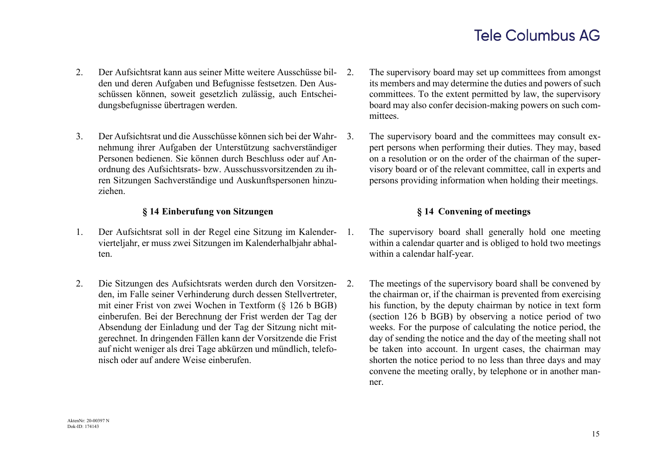- 2. Der Aufsichtsrat kann aus seiner Mitte weitere Ausschüsse bilden und deren Aufgaben und Befugnisse festsetzen. Den Ausschüssen können, soweit gesetzlich zulässig, auch Entscheidungsbefugnisse übertragen werden.
- 3. Der Aufsichtsrat und die Ausschüsse können sich bei der Wahrnehmung ihrer Aufgaben der Unterstützung sachverständiger Personen bedienen. Sie können durch Beschluss oder auf Anordnung des Aufsichtsrats- bzw. Ausschussvorsitzenden zu ihren Sitzungen Sachverständige und Auskunftspersonen hinzuziehen.

### **§ 14 Einberufung von Sitzungen § 14 Convening of meetings**

- 1. Der Aufsichtsrat soll in der Regel eine Sitzung im Kalendervierteljahr, er muss zwei Sitzungen im Kalenderhalbjahr abhalten.
- 2. Die Sitzungen des Aufsichtsrats werden durch den Vorsitzenden, im Falle seiner Verhinderung durch dessen Stellvertreter, mit einer Frist von zwei Wochen in Textform (§ 126 b BGB) einberufen. Bei der Berechnung der Frist werden der Tag der Absendung der Einladung und der Tag der Sitzung nicht mitgerechnet. In dringenden Fällen kann der Vorsitzende die Frist auf nicht weniger als drei Tage abkürzen und mündlich, telefonisch oder auf andere Weise einberufen.
- 2. The supervisory board may set up committees from amongst its members and may determine the duties and powers of such committees. To the extent permitted by law, the supervisory board may also confer decision-making powers on such committees.
- 3. The supervisory board and the committees may consult expert persons when performing their duties. They may, based on a resolution or on the order of the chairman of the supervisory board or of the relevant committee, call in experts and persons providing information when holding their meetings.

- 1. The supervisory board shall generally hold one meeting within a calendar quarter and is obliged to hold two meetings within a calendar half-year.
	- The meetings of the supervisory board shall be convened by the chairman or, if the chairman is prevented from exercising his function, by the deputy chairman by notice in text form (section 126 b BGB) by observing a notice period of two weeks. For the purpose of calculating the notice period, the day of sending the notice and the day of the meeting shall not be taken into account. In urgent cases, the chairman may shorten the notice period to no less than three days and may convene the meeting orally, by telephone or in another manner.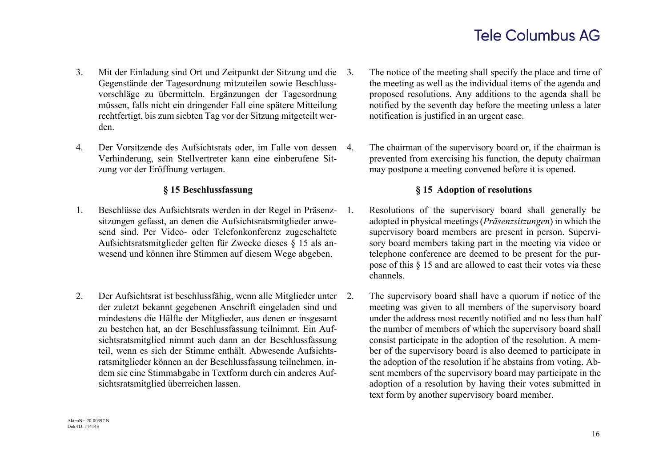- 3. Mit der Einladung sind Ort und Zeitpunkt der Sitzung und die Gegenstände der Tagesordnung mitzuteilen sowie Beschlussvorschläge zu übermitteln. Ergänzungen der Tagesordnung müssen, falls nicht ein dringender Fall eine spätere Mitteilung rechtfertigt, bis zum siebten Tag vor der Sitzung mitgeteilt werden.
- 4. Der Vorsitzende des Aufsichtsrats oder, im Falle von dessen Verhinderung, sein Stellvertreter kann eine einberufene Sitzung vor der Eröffnung vertagen.

- 1. Beschlüsse des Aufsichtsrats werden in der Regel in Präsenzsitzungen gefasst, an denen die Aufsichtsratsmitglieder anwesend sind. Per Video- oder Telefonkonferenz zugeschaltete Aufsichtsratsmitglieder gelten für Zwecke dieses § 15 als anwesend und können ihre Stimmen auf diesem Wege abgeben.
- 2. Der Aufsichtsrat ist beschlussfähig, wenn alle Mitglieder unter der zuletzt bekannt gegebenen Anschrift eingeladen sind und mindestens die Hälfte der Mitglieder, aus denen er insgesamt zu bestehen hat, an der Beschlussfassung teilnimmt. Ein Aufsichtsratsmitglied nimmt auch dann an der Beschlussfassung teil, wenn es sich der Stimme enthält. Abwesende Aufsichtsratsmitglieder können an der Beschlussfassung teilnehmen, indem sie eine Stimmabgabe in Textform durch ein anderes Aufsichtsratsmitglied überreichen lassen.
- The notice of the meeting shall specify the place and time of the meeting as well as the individual items of the agenda and proposed resolutions. Any additions to the agenda shall be notified by the seventh day before the meeting unless a later notification is justified in an urgent case.
- The chairman of the supervisory board or, if the chairman is prevented from exercising his function, the deputy chairman may postpone a meeting convened before it is opened.

### **§ 15 Beschlussfassung § 15 Adoption of resolutions**

- 1. Resolutions of the supervisory board shall generally be adopted in physical meetings (*Präsenzsitzungen*) in which the supervisory board members are present in person. Supervisory board members taking part in the meeting via video or telephone conference are deemed to be present for the purpose of this § 15 and are allowed to cast their votes via these channels.
	- The supervisory board shall have a quorum if notice of the meeting was given to all members of the supervisory board under the address most recently notified and no less than half the number of members of which the supervisory board shall consist participate in the adoption of the resolution. A member of the supervisory board is also deemed to participate in the adoption of the resolution if he abstains from voting. Absent members of the supervisory board may participate in the adoption of a resolution by having their votes submitted in text form by another supervisory board member.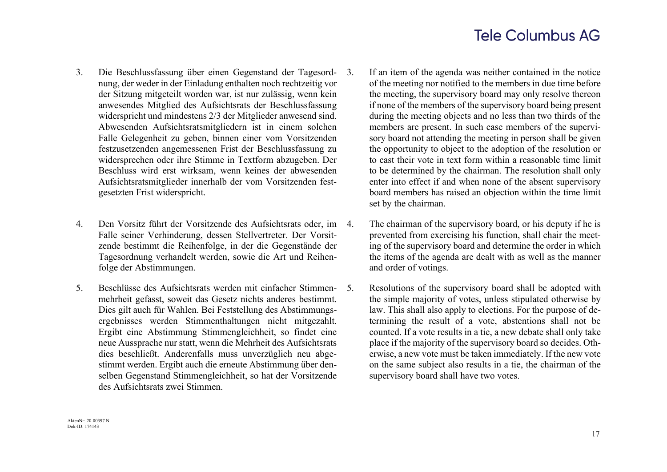- 3. Die Beschlussfassung über einen Gegenstand der Tagesordnung, der weder in der Einladung enthalten noch rechtzeitig vor der Sitzung mitgeteilt worden war, ist nur zulässig, wenn kein anwesendes Mitglied des Aufsichtsrats der Beschlussfassung widerspricht und mindestens 2/3 der Mitglieder anwesend sind. Abwesenden Aufsichtsratsmitgliedern ist in einem solchen Falle Gelegenheit zu geben, binnen einer vom Vorsitzenden festzusetzenden angemessenen Frist der Beschlussfassung zu widersprechen oder ihre Stimme in Textform abzugeben. Der Beschluss wird erst wirksam, wenn keines der abwesenden Aufsichtsratsmitglieder innerhalb der vom Vorsitzenden festgesetzten Frist widerspricht.
- 4. Den Vorsitz führt der Vorsitzende des Aufsichtsrats oder, im Falle seiner Verhinderung, dessen Stellvertreter. Der Vorsitzende bestimmt die Reihenfolge, in der die Gegenstände der Tagesordnung verhandelt werden, sowie die Art und Reihenfolge der Abstimmungen.
- 5. Beschlüsse des Aufsichtsrats werden mit einfacher Stimmenmehrheit gefasst, soweit das Gesetz nichts anderes bestimmt. Dies gilt auch für Wahlen. Bei Feststellung des Abstimmungsergebnisses werden Stimmenthaltungen nicht mitgezahlt. Ergibt eine Abstimmung Stimmengleichheit, so findet eine neue Aussprache nur statt, wenn die Mehrheit des Aufsichtsrats dies beschließt. Anderenfalls muss unverzüglich neu abgestimmt werden. Ergibt auch die erneute Abstimmung über denselben Gegenstand Stimmengleichheit, so hat der Vorsitzende des Aufsichtsrats zwei Stimmen.
- 3. If an item of the agenda was neither contained in the notice of the meeting nor notified to the members in due time before the meeting, the supervisory board may only resolve thereon if none of the members of the supervisory board being present during the meeting objects and no less than two thirds of the members are present. In such case members of the supervisory board not attending the meeting in person shall be given the opportunity to object to the adoption of the resolution or to cast their vote in text form within a reasonable time limit to be determined by the chairman. The resolution shall only enter into effect if and when none of the absent supervisory board members has raised an objection within the time limit set by the chairman.
	- The chairman of the supervisory board, or his deputy if he is prevented from exercising his function, shall chair the meeting of the supervisory board and determine the order in which the items of the agenda are dealt with as well as the manner and order of votings.
	- Resolutions of the supervisory board shall be adopted with the simple majority of votes, unless stipulated otherwise by law. This shall also apply to elections. For the purpose of determining the result of a vote, abstentions shall not be counted. If a vote results in a tie, a new debate shall only take place if the majority of the supervisory board so decides. Otherwise, a new vote must be taken immediately. If the new vote on the same subject also results in a tie, the chairman of the supervisory board shall have two votes.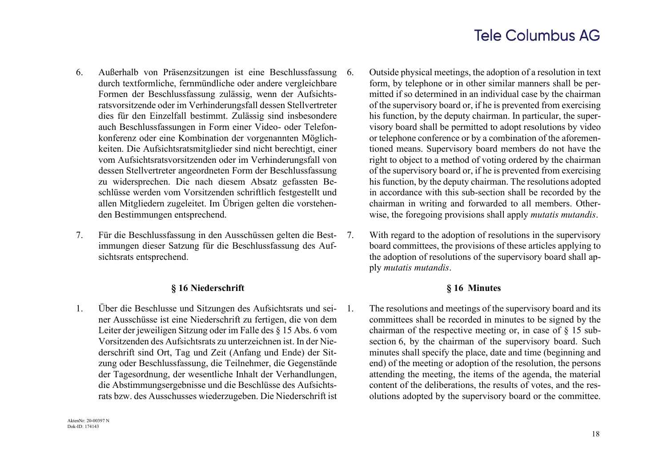- 6. Außerhalb von Präsenzsitzungen ist eine Beschlussfassung durch textformliche, fernmündliche oder andere vergleichbare Formen der Beschlussfassung zulässig, wenn der Aufsichtsratsvorsitzende oder im Verhinderungsfall dessen Stellvertreter dies für den Einzelfall bestimmt. Zulässig sind insbesondere auch Beschlussfassungen in Form einer Video- oder Telefonkonferenz oder eine Kombination der vorgenannten Möglichkeiten. Die Aufsichtsratsmitglieder sind nicht berechtigt, einer vom Aufsichtsratsvorsitzenden oder im Verhinderungsfall von dessen Stellvertreter angeordneten Form der Beschlussfassung zu widersprechen. Die nach diesem Absatz gefassten Beschlüsse werden vom Vorsitzenden schriftlich festgestellt und allen Mitgliedern zugeleitet. Im Übrigen gelten die vorstehenden Bestimmungen entsprechend.
- 7. Für die Beschlussfassung in den Ausschüssen gelten die Bestimmungen dieser Satzung für die Beschlussfassung des Aufsichtsrats entsprechend.

### **§ 16 Niederschrift § 16 Minutes**

1. Über die Beschlusse und Sitzungen des Aufsichtsrats und seiner Ausschüsse ist eine Niederschrift zu fertigen, die von dem Leiter der jeweiligen Sitzung oder im Falle des § 15 Abs. 6 vom Vorsitzenden des Aufsichtsrats zu unterzeichnen ist. In der Niederschrift sind Ort, Tag und Zeit (Anfang und Ende) der Sitzung oder Beschlussfassung, die Teilnehmer, die Gegenstände der Tagesordnung, der wesentliche Inhalt der Verhandlungen, die Abstimmungsergebnisse und die Beschlüsse des Aufsichtsrats bzw. des Ausschusses wiederzugeben. Die Niederschrift ist

- 6. Outside physical meetings, the adoption of a resolution in text form, by telephone or in other similar manners shall be permitted if so determined in an individual case by the chairman of the supervisory board or, if he is prevented from exercising his function, by the deputy chairman. In particular, the supervisory board shall be permitted to adopt resolutions by video or telephone conference or by a combination of the aforementioned means. Supervisory board members do not have the right to object to a method of voting ordered by the chairman of the supervisory board or, if he is prevented from exercising his function, by the deputy chairman. The resolutions adopted in accordance with this sub-section shall be recorded by the chairman in writing and forwarded to all members. Otherwise, the foregoing provisions shall apply *mutatis mutandis*.
- 7. With regard to the adoption of resolutions in the supervisory board committees, the provisions of these articles applying to the adoption of resolutions of the supervisory board shall apply *mutatis mutandis*.

1. The resolutions and meetings of the supervisory board and its committees shall be recorded in minutes to be signed by the chairman of the respective meeting or, in case of § 15 subsection 6, by the chairman of the supervisory board. Such minutes shall specify the place, date and time (beginning and end) of the meeting or adoption of the resolution, the persons attending the meeting, the items of the agenda, the material content of the deliberations, the results of votes, and the resolutions adopted by the supervisory board or the committee.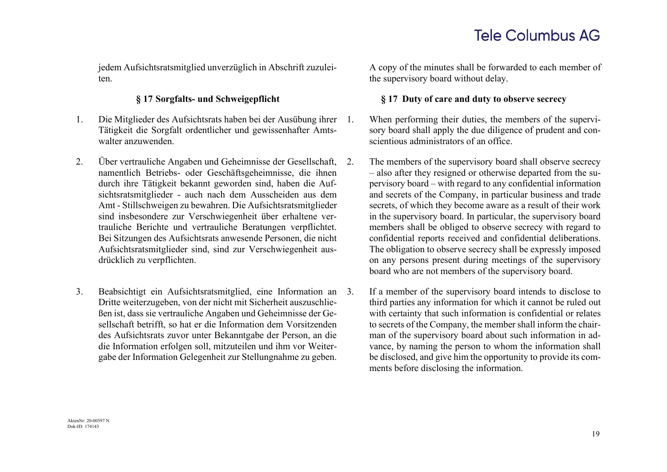jedem Aufsichtsratsmitglied unverzüglich in Abschrift zuzuleiten.

- 1. Die Mitglieder des Aufsichtsrats haben bei der Ausübung ihrer Tätigkeit die Sorgfalt ordentlicher und gewissenhafter Amtswalter anzuwenden.
- 2. Über vertrauliche Angaben und Geheimnisse der Gesellschaft, namentlich Betriebs- oder Geschäftsgeheimnisse, die ihnen durch ihre Tätigkeit bekannt geworden sind, haben die Aufsichtsratsmitglieder - auch nach dem Ausscheiden aus dem Amt - Stillschweigen zu bewahren. Die Aufsichtsratsmitglieder sind insbesondere zur Verschwiegenheit über erhaltene vertrauliche Berichte und vertrauliche Beratungen verpflichtet. Bei Sitzungen des Aufsichtsrats anwesende Personen, die nicht Aufsichtsratsmitglieder sind, sind zur Verschwiegenheit ausdrücklich zu verpflichten.
- 3. Beabsichtigt ein Aufsichtsratsmitglied, eine Information an Dritte weiterzugeben, von der nicht mit Sicherheit auszuschließen ist, dass sie vertrauliche Angaben und Geheimnisse der Gesellschaft betrifft, so hat er die Information dem Vorsitzenden des Aufsichtsrats zuvor unter Bekanntgabe der Person, an die die Information erfolgen soll, mitzuteilen und ihm vor Weitergabe der Information Gelegenheit zur Stellungnahme zu geben.

A copy of the minutes shall be forwarded to each member of the supervisory board without delay.

### **§ 17 Sorgfalts- und Schweigepflicht § 17 Duty of care and duty to observe secrecy**

When performing their duties, the members of the supervisory board shall apply the due diligence of prudent and conscientious administrators of an office.

- The members of the supervisory board shall observe secrecy – also after they resigned or otherwise departed from the supervisory board – with regard to any confidential information and secrets of the Company, in particular business and trade secrets, of which they become aware as a result of their work in the supervisory board. In particular, the supervisory board members shall be obliged to observe secrecy with regard to confidential reports received and confidential deliberations. The obligation to observe secrecy shall be expressly imposed on any persons present during meetings of the supervisory board who are not members of the supervisory board.
- If a member of the supervisory board intends to disclose to third parties any information for which it cannot be ruled out with certainty that such information is confidential or relates to secrets of the Company, the member shall inform the chairman of the supervisory board about such information in advance, by naming the person to whom the information shall be disclosed, and give him the opportunity to provide its comments before disclosing the information.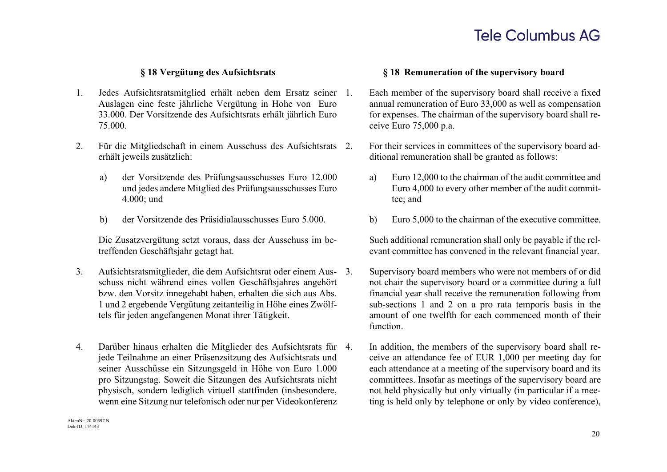- 1. Jedes Aufsichtsratsmitglied erhält neben dem Ersatz seiner Auslagen eine feste jährliche Vergütung in Hohe von Euro 33.000. Der Vorsitzende des Aufsichtsrats erhält jährlich Euro 75.000.
- 2. Für die Mitgliedschaft in einem Ausschuss des Aufsichtsrats 2. erhält jeweils zusätzlich:
	- a) der Vorsitzende des Prüfungsausschusses Euro 12.000 und jedes andere Mitglied des Prüfungsausschusses Euro 4.000; und
	- b) der Vorsitzende des Präsidialausschusses Euro 5.000. b) Euro 5,000 to the chairman of the executive committee.

Die Zusatzvergütung setzt voraus, dass der Ausschuss im betreffenden Geschäftsjahr getagt hat.

- 3. Aufsichtsratsmitglieder, die dem Aufsichtsrat oder einem Ausschuss nicht während eines vollen Geschäftsjahres angehört bzw. den Vorsitz innegehabt haben, erhalten die sich aus Abs. 1 und 2 ergebende Vergütung zeitanteilig in Höhe eines Zwölftels für jeden angefangenen Monat ihrer Tätigkeit.
- 4. Darüber hinaus erhalten die Mitglieder des Aufsichtsrats für jede Teilnahme an einer Präsenzsitzung des Aufsichtsrats und seiner Ausschüsse ein Sitzungsgeld in Höhe von Euro 1.000 pro Sitzungstag. Soweit die Sitzungen des Aufsichtsrats nicht physisch, sondern lediglich virtuell stattfinden (insbesondere, wenn eine Sitzung nur telefonisch oder nur per Videokonferenz

### **§ 18 Vergütung des Aufsichtsrats § 18 Remuneration of the supervisory board**

- Each member of the supervisory board shall receive a fixed annual remuneration of Euro 33,000 as well as compensation for expenses. The chairman of the supervisory board shall receive Euro 75,000 p.a.
- 2. For their services in committees of the supervisory board additional remuneration shall be granted as follows:
	- a) Euro 12,000 to the chairman of the audit committee and Euro 4,000 to every other member of the audit committee; and
	-

Such additional remuneration shall only be payable if the relevant committee has convened in the relevant financial year.

- Supervisory board members who were not members of or did not chair the supervisory board or a committee during a full financial year shall receive the remuneration following from sub-sections 1 and 2 on a pro rata temporis basis in the amount of one twelfth for each commenced month of their function.
- In addition, the members of the supervisory board shall receive an attendance fee of EUR 1,000 per meeting day for each attendance at a meeting of the supervisory board and its committees. Insofar as meetings of the supervisory board are not held physically but only virtually (in particular if a meeting is held only by telephone or only by video conference),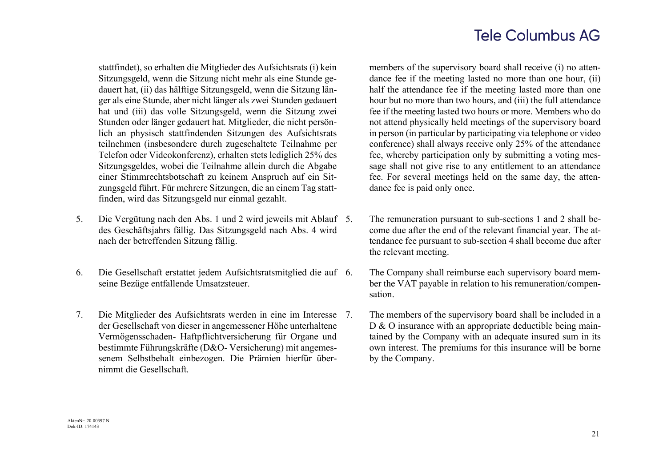stattfindet), so erhalten die Mitglieder des Aufsichtsrats (i) kein Sitzungsgeld, wenn die Sitzung nicht mehr als eine Stunde gedauert hat, (ii) das hälftige Sitzungsgeld, wenn die Sitzung länger als eine Stunde, aber nicht länger als zwei Stunden gedauert hat und (iii) das volle Sitzungsgeld, wenn die Sitzung zwei Stunden oder länger gedauert hat. Mitglieder, die nicht persönlich an physisch stattfindenden Sitzungen des Aufsichtsrats teilnehmen (insbesondere durch zugeschaltete Teilnahme per Telefon oder Videokonferenz), erhalten stets lediglich 25% des Sitzungsgeldes, wobei die Teilnahme allein durch die Abgabe einer Stimmrechtsbotschaft zu keinem Anspruch auf ein Sitzungsgeld führt. Für mehrere Sitzungen, die an einem Tag stattfinden, wird das Sitzungsgeld nur einmal gezahlt.

- 5. Die Vergütung nach den Abs. 1 und 2 wird jeweils mit Ablauf des Geschäftsjahrs fällig. Das Sitzungsgeld nach Abs. 4 wird nach der betreffenden Sitzung fällig.
- 6. Die Gesellschaft erstattet jedem Aufsichtsratsmitglied die auf seine Bezüge entfallende Umsatzsteuer.
- 7. Die Mitglieder des Aufsichtsrats werden in eine im Interesse der Gesellschaft von dieser in angemessener Höhe unterhaltene Vermögensschaden- Haftpflichtversicherung für Organe und bestimmte Führungskräfte (D&O- Versicherung) mit angemessenem Selbstbehalt einbezogen. Die Prämien hierfür übernimmt die Gesellschaft.

members of the supervisory board shall receive (i) no attendance fee if the meeting lasted no more than one hour, (ii) half the attendance fee if the meeting lasted more than one hour but no more than two hours, and (iii) the full attendance fee if the meeting lasted two hours or more. Members who do not attend physically held meetings of the supervisory board in person (in particular by participating via telephone or video conference) shall always receive only 25% of the attendance fee, whereby participation only by submitting a voting message shall not give rise to any entitlement to an attendance fee. For several meetings held on the same day, the attendance fee is paid only once.

- The remuneration pursuant to sub-sections 1 and 2 shall become due after the end of the relevant financial year. The attendance fee pursuant to sub-section 4 shall become due after the relevant meeting.
	- The Company shall reimburse each supervisory board member the VAT payable in relation to his remuneration/compensation.
- The members of the supervisory board shall be included in a D & O insurance with an appropriate deductible being maintained by the Company with an adequate insured sum in its own interest. The premiums for this insurance will be borne by the Company.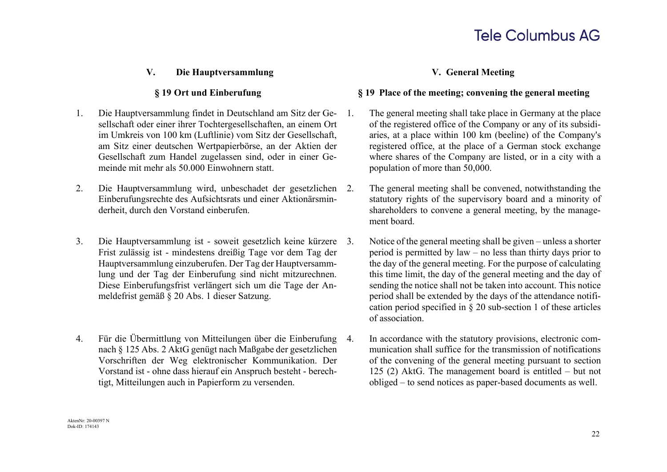### **V. Die Hauptversammlung V. General Meeting**

- 1. Die Hauptversammlung findet in Deutschland am Sitz der Gesellschaft oder einer ihrer Tochtergesellschaften, an einem Ort im Umkreis von 100 km (Luftlinie) vom Sitz der Gesellschaft, am Sitz einer deutschen Wertpapierbörse, an der Aktien der Gesellschaft zum Handel zugelassen sind, oder in einer Gemeinde mit mehr als 50.000 Einwohnern statt.
- 2. Die Hauptversammlung wird, unbeschadet der gesetzlichen Einberufungsrechte des Aufsichtsrats und einer Aktionärsminderheit, durch den Vorstand einberufen.
- 3. Die Hauptversammlung ist soweit gesetzlich keine kürzere Frist zulässig ist - mindestens dreißig Tage vor dem Tag der Hauptversammlung einzuberufen. Der Tag der Hauptversammlung und der Tag der Einberufung sind nicht mitzurechnen. Diese Einberufungsfrist verlängert sich um die Tage der Anmeldefrist gemäß § 20 Abs. 1 dieser Satzung.
- 4. Für die Übermittlung von Mitteilungen über die Einberufung nach § 125 Abs. 2 AktG genügt nach Maßgabe der gesetzlichen Vorschriften der Weg elektronischer Kommunikation. Der Vorstand ist - ohne dass hierauf ein Anspruch besteht - berechtigt, Mitteilungen auch in Papierform zu versenden.

### **§ 19 Ort und Einberufung § 19 Place of the meeting; convening the general meeting**

- 1. The general meeting shall take place in Germany at the place of the registered office of the Company or any of its subsidiaries, at a place within 100 km (beeline) of the Company's registered office, at the place of a German stock exchange where shares of the Company are listed, or in a city with a population of more than 50,000.
	- The general meeting shall be convened, notwithstanding the statutory rights of the supervisory board and a minority of shareholders to convene a general meeting, by the management board.
	- Notice of the general meeting shall be given unless a shorter period is permitted by law – no less than thirty days prior to the day of the general meeting. For the purpose of calculating this time limit, the day of the general meeting and the day of sending the notice shall not be taken into account. This notice period shall be extended by the days of the attendance notification period specified in § 20 sub-section 1 of these articles of association.
- 4. In accordance with the statutory provisions, electronic communication shall suffice for the transmission of notifications of the convening of the general meeting pursuant to section 125 (2) AktG. The management board is entitled – but not obliged – to send notices as paper-based documents as well.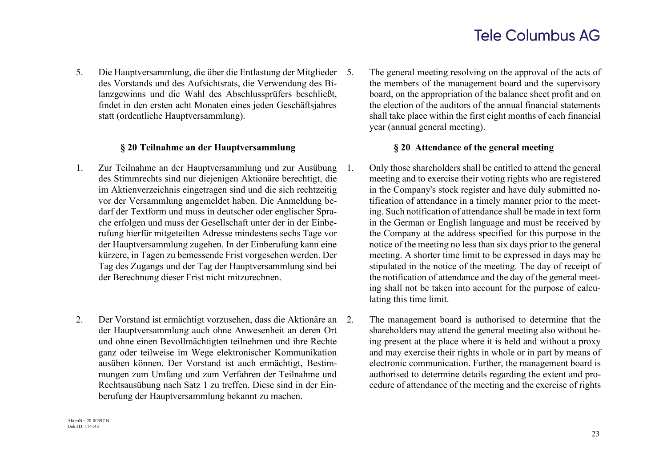5. Die Hauptversammlung, die über die Entlastung der Mitglieder des Vorstands und des Aufsichtsrats, die Verwendung des Bilanzgewinns und die Wahl des Abschlussprüfers beschließt, findet in den ersten acht Monaten eines jeden Geschäftsjahres statt (ordentliche Hauptversammlung).

### **§ 20 Teilnahme an der Hauptversammlung § 20 Attendance of the general meeting**

- 1. Zur Teilnahme an der Hauptversammlung und zur Ausübung des Stimmrechts sind nur diejenigen Aktionäre berechtigt, die im Aktienverzeichnis eingetragen sind und die sich rechtzeitig vor der Versammlung angemeldet haben. Die Anmeldung bedarf der Textform und muss in deutscher oder englischer Sprache erfolgen und muss der Gesellschaft unter der in der Einberufung hierfür mitgeteilten Adresse mindestens sechs Tage vor der Hauptversammlung zugehen. In der Einberufung kann eine kürzere, in Tagen zu bemessende Frist vorgesehen werden. Der Tag des Zugangs und der Tag der Hauptversammlung sind bei der Berechnung dieser Frist nicht mitzurechnen.
- 2. Der Vorstand ist ermächtigt vorzusehen, dass die Aktionäre an der Hauptversammlung auch ohne Anwesenheit an deren Ort und ohne einen Bevollmächtigten teilnehmen und ihre Rechte ganz oder teilweise im Wege elektronischer Kommunikation ausüben können. Der Vorstand ist auch ermächtigt, Bestimmungen zum Umfang und zum Verfahren der Teilnahme und Rechtsausübung nach Satz 1 zu treffen. Diese sind in der Einberufung der Hauptversammlung bekannt zu machen.

The general meeting resolving on the approval of the acts of the members of the management board and the supervisory board, on the appropriation of the balance sheet profit and on the election of the auditors of the annual financial statements shall take place within the first eight months of each financial year (annual general meeting).

- 1. Only those shareholders shall be entitled to attend the general meeting and to exercise their voting rights who are registered in the Company's stock register and have duly submitted notification of attendance in a timely manner prior to the meeting. Such notification of attendance shall be made in text form in the German or English language and must be received by the Company at the address specified for this purpose in the notice of the meeting no less than six days prior to the general meeting. A shorter time limit to be expressed in days may be stipulated in the notice of the meeting. The day of receipt of the notification of attendance and the day of the general meeting shall not be taken into account for the purpose of calculating this time limit.
- The management board is authorised to determine that the shareholders may attend the general meeting also without being present at the place where it is held and without a proxy and may exercise their rights in whole or in part by means of electronic communication. Further, the management board is authorised to determine details regarding the extent and procedure of attendance of the meeting and the exercise of rights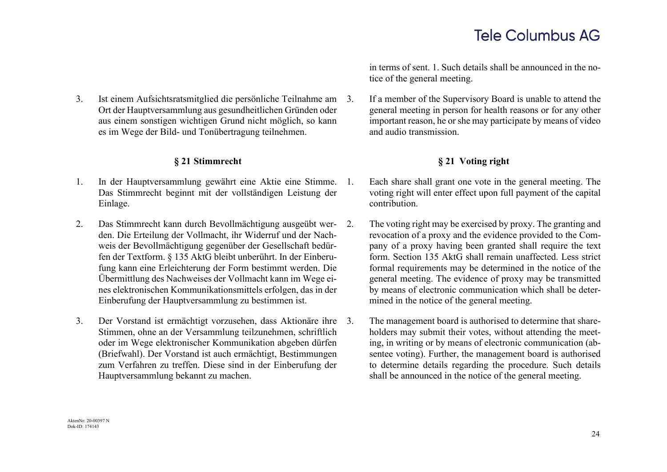3. Ist einem Aufsichtsratsmitglied die persönliche Teilnahme am Ort der Hauptversammlung aus gesundheitlichen Gründen oder aus einem sonstigen wichtigen Grund nicht möglich, so kann es im Wege der Bild- und Tonübertragung teilnehmen.

- 1. In der Hauptversammlung gewährt eine Aktie eine Stimme. Das Stimmrecht beginnt mit der vollständigen Leistung der Einlage.
- 2. Das Stimmrecht kann durch Bevollmächtigung ausgeübt werden. Die Erteilung der Vollmacht, ihr Widerruf und der Nachweis der Bevollmächtigung gegenüber der Gesellschaft bedürfen der Textform. § 135 AktG bleibt unberührt. In der Einberufung kann eine Erleichterung der Form bestimmt werden. Die Übermittlung des Nachweises der Vollmacht kann im Wege eines elektronischen Kommunikationsmittels erfolgen, das in der Einberufung der Hauptversammlung zu bestimmen ist.
- 3. Der Vorstand ist ermächtigt vorzusehen, dass Aktionäre ihre Stimmen, ohne an der Versammlung teilzunehmen, schriftlich oder im Wege elektronischer Kommunikation abgeben dürfen (Briefwahl). Der Vorstand ist auch ermächtigt, Bestimmungen zum Verfahren zu treffen. Diese sind in der Einberufung der Hauptversammlung bekannt zu machen.

in terms of sent. 1. Such details shall be announced in the notice of the general meeting.

If a member of the Supervisory Board is unable to attend the general meeting in person for health reasons or for any other important reason, he or she may participate by means of video and audio transmission.

## **§ 21 Stimmrecht § 21 Voting right**

- Each share shall grant one vote in the general meeting. The voting right will enter effect upon full payment of the capital contribution.
- The voting right may be exercised by proxy. The granting and revocation of a proxy and the evidence provided to the Company of a proxy having been granted shall require the text form. Section 135 AktG shall remain unaffected. Less strict formal requirements may be determined in the notice of the general meeting. The evidence of proxy may be transmitted by means of electronic communication which shall be determined in the notice of the general meeting.
- The management board is authorised to determine that shareholders may submit their votes, without attending the meeting, in writing or by means of electronic communication (absentee voting). Further, the management board is authorised to determine details regarding the procedure. Such details shall be announced in the notice of the general meeting.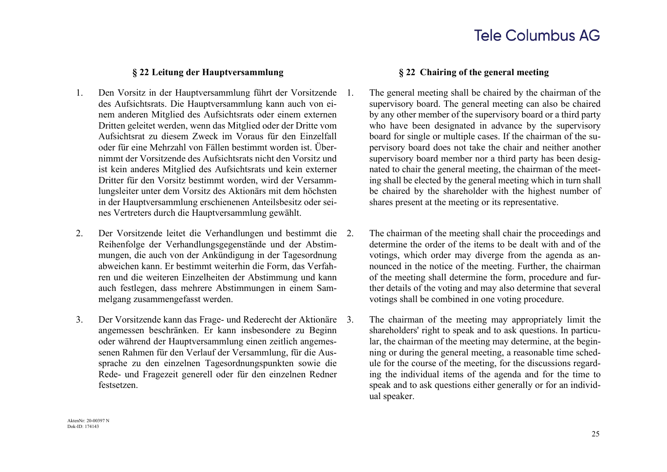### **§ 22 Leitung der Hauptversammlung § 22 Chairing of the general meeting**

- 1. Den Vorsitz in der Hauptversammlung führt der Vorsitzende des Aufsichtsrats. Die Hauptversammlung kann auch von einem anderen Mitglied des Aufsichtsrats oder einem externen Dritten geleitet werden, wenn das Mitglied oder der Dritte vom Aufsichtsrat zu diesem Zweck im Voraus für den Einzelfall oder für eine Mehrzahl von Fällen bestimmt worden ist. Übernimmt der Vorsitzende des Aufsichtsrats nicht den Vorsitz und ist kein anderes Mitglied des Aufsichtsrats und kein externer Dritter für den Vorsitz bestimmt worden, wird der Versammlungsleiter unter dem Vorsitz des Aktionärs mit dem höchsten in der Hauptversammlung erschienenen Anteilsbesitz oder seines Vertreters durch die Hauptversammlung gewählt.
- 2. Der Vorsitzende leitet die Verhandlungen und bestimmt die Reihenfolge der Verhandlungsgegenstände und der Abstimmungen, die auch von der Ankündigung in der Tagesordnung abweichen kann. Er bestimmt weiterhin die Form, das Verfahren und die weiteren Einzelheiten der Abstimmung und kann auch festlegen, dass mehrere Abstimmungen in einem Sammelgang zusammengefasst werden.
- 3. Der Vorsitzende kann das Frage- und Rederecht der Aktionäre angemessen beschränken. Er kann insbesondere zu Beginn oder während der Hauptversammlung einen zeitlich angemessenen Rahmen für den Verlauf der Versammlung, für die Aussprache zu den einzelnen Tagesordnungspunkten sowie die Rede- und Fragezeit generell oder für den einzelnen Redner festsetzen.

- 1. The general meeting shall be chaired by the chairman of the supervisory board. The general meeting can also be chaired by any other member of the supervisory board or a third party who have been designated in advance by the supervisory board for single or multiple cases. If the chairman of the supervisory board does not take the chair and neither another supervisory board member nor a third party has been designated to chair the general meeting, the chairman of the meeting shall be elected by the general meeting which in turn shall be chaired by the shareholder with the highest number of shares present at the meeting or its representative.
- The chairman of the meeting shall chair the proceedings and determine the order of the items to be dealt with and of the votings, which order may diverge from the agenda as announced in the notice of the meeting. Further, the chairman of the meeting shall determine the form, procedure and further details of the voting and may also determine that several votings shall be combined in one voting procedure.
- The chairman of the meeting may appropriately limit the shareholders' right to speak and to ask questions. In particular, the chairman of the meeting may determine, at the beginning or during the general meeting, a reasonable time schedule for the course of the meeting, for the discussions regarding the individual items of the agenda and for the time to speak and to ask questions either generally or for an individual speaker.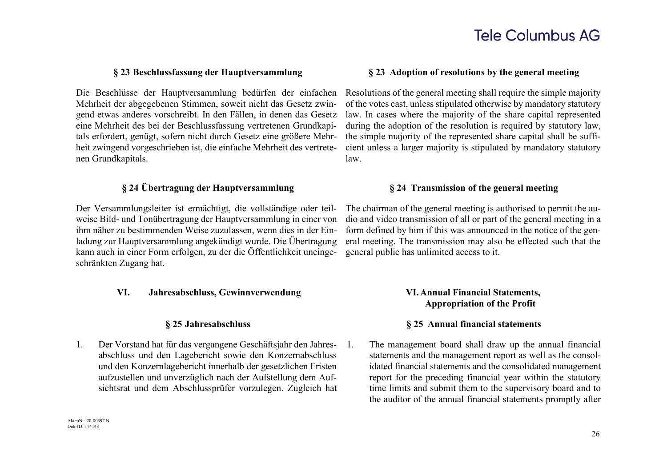Die Beschlüsse der Hauptversammlung bedürfen der einfachen Mehrheit der abgegebenen Stimmen, soweit nicht das Gesetz zwingend etwas anderes vorschreibt. In den Fällen, in denen das Gesetz eine Mehrheit des bei der Beschlussfassung vertretenen Grundkapitals erfordert, genügt, sofern nicht durch Gesetz eine größere Mehrheit zwingend vorgeschrieben ist, die einfache Mehrheit des vertretenen Grundkapitals.

### **§ 24 Übertragung der Hauptversammlung § 24 Transmission of the general meeting**

Der Versammlungsleiter ist ermächtigt, die vollständige oder teilweise Bild- und Tonübertragung der Hauptversammlung in einer von ihm näher zu bestimmenden Weise zuzulassen, wenn dies in der Einladung zur Hauptversammlung angekündigt wurde. Die Übertragung kann auch in einer Form erfolgen, zu der die Öffentlichkeit uneingeschränkten Zugang hat.

### **VI. Jahresabschluss, Gewinnverwendung VI.Annual Financial Statements,**

1. Der Vorstand hat für das vergangene Geschäftsjahr den Jahresabschluss und den Lagebericht sowie den Konzernabschluss und den Konzernlagebericht innerhalb der gesetzlichen Fristen aufzustellen und unverzüglich nach der Aufstellung dem Aufsichtsrat und dem Abschlussprüfer vorzulegen. Zugleich hat

### **§ 23 Beschlussfassung der Hauptversammlung § 23 Adoption of resolutions by the general meeting**

Resolutions of the general meeting shall require the simple majority of the votes cast, unless stipulated otherwise by mandatory statutory law. In cases where the majority of the share capital represented during the adoption of the resolution is required by statutory law, the simple majority of the represented share capital shall be sufficient unless a larger majority is stipulated by mandatory statutory law.

The chairman of the general meeting is authorised to permit the audio and video transmission of all or part of the general meeting in a form defined by him if this was announced in the notice of the general meeting. The transmission may also be effected such that the general public has unlimited access to it.

# **Appropriation of the Profit**

### **§ 25 Jahresabschluss § 25 Annual financial statements**

1. The management board shall draw up the annual financial statements and the management report as well as the consolidated financial statements and the consolidated management report for the preceding financial year within the statutory time limits and submit them to the supervisory board and to the auditor of the annual financial statements promptly after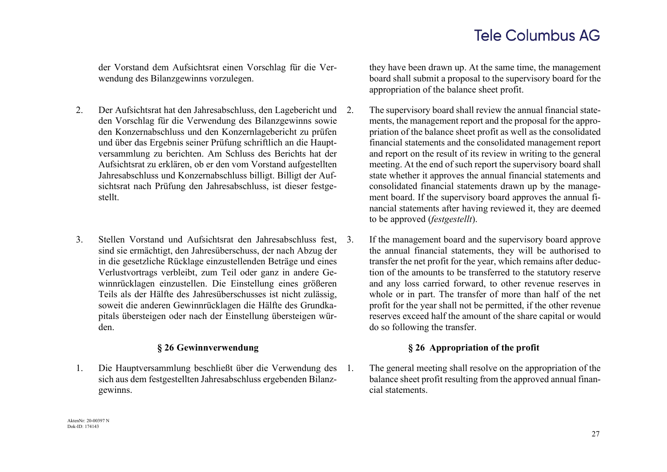der Vorstand dem Aufsichtsrat einen Vorschlag für die Verwendung des Bilanzgewinns vorzulegen.

- 2. Der Aufsichtsrat hat den Jahresabschluss, den Lagebericht und den Vorschlag für die Verwendung des Bilanzgewinns sowie den Konzernabschluss und den Konzernlagebericht zu prüfen und über das Ergebnis seiner Prüfung schriftlich an die Hauptversammlung zu berichten. Am Schluss des Berichts hat der Aufsichtsrat zu erklären, ob er den vom Vorstand aufgestellten Jahresabschluss und Konzernabschluss billigt. Billigt der Aufsichtsrat nach Prüfung den Jahresabschluss, ist dieser festgestellt.
- 3. Stellen Vorstand und Aufsichtsrat den Jahresabschluss fest, sind sie ermächtigt, den Jahresüberschuss, der nach Abzug der in die gesetzliche Rücklage einzustellenden Beträge und eines Verlustvortrags verbleibt, zum Teil oder ganz in andere Gewinnrücklagen einzustellen. Die Einstellung eines größeren Teils als der Hälfte des Jahresüberschusses ist nicht zulässig, soweit die anderen Gewinnrücklagen die Hälfte des Grundkapitals übersteigen oder nach der Einstellung übersteigen würden.

1. Die Hauptversammlung beschließt über die Verwendung des sich aus dem festgestellten Jahresabschluss ergebenden Bilanzgewinns.

they have been drawn up. At the same time, the management board shall submit a proposal to the supervisory board for the appropriation of the balance sheet profit.

- The supervisory board shall review the annual financial statements, the management report and the proposal for the appropriation of the balance sheet profit as well as the consolidated financial statements and the consolidated management report and report on the result of its review in writing to the general meeting. At the end of such report the supervisory board shall state whether it approves the annual financial statements and consolidated financial statements drawn up by the management board. If the supervisory board approves the annual financial statements after having reviewed it, they are deemed to be approved (*festgestellt*).
- 3. If the management board and the supervisory board approve the annual financial statements, they will be authorised to transfer the net profit for the year, which remains after deduction of the amounts to be transferred to the statutory reserve and any loss carried forward, to other revenue reserves in whole or in part. The transfer of more than half of the net profit for the year shall not be permitted, if the other revenue reserves exceed half the amount of the share capital or would do so following the transfer.

### **§ 26 Gewinnverwendung § 26 Appropriation of the profit**

1. The general meeting shall resolve on the appropriation of the balance sheet profit resulting from the approved annual financial statements.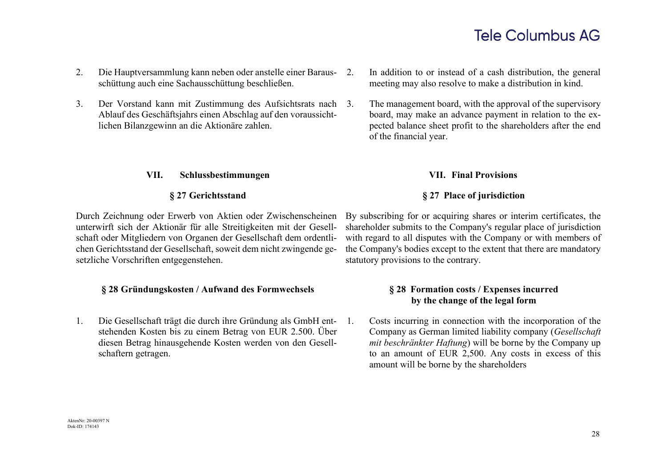- 2. Die Hauptversammlung kann neben oder anstelle einer Barausschüttung auch eine Sachausschüttung beschließen.
- 3. Der Vorstand kann mit Zustimmung des Aufsichtsrats nach Ablauf des Geschäftsjahrs einen Abschlag auf den voraussichtlichen Bilanzgewinn an die Aktionäre zahlen.

### **VII. Schlussbestimmungen VII. Final Provisions**

Durch Zeichnung oder Erwerb von Aktien oder Zwischenscheinen unterwirft sich der Aktionär für alle Streitigkeiten mit der Gesellschaft oder Mitgliedern von Organen der Gesellschaft dem ordentlichen Gerichtsstand der Gesellschaft, soweit dem nicht zwingende gesetzliche Vorschriften entgegenstehen.

### **§ 28 Gründungskosten / Aufwand des Formwechsels § 28 Formation costs / Expenses incurred**

1. Die Gesellschaft trägt die durch ihre Gründung als GmbH entstehenden Kosten bis zu einem Betrag von EUR 2.500. Über diesen Betrag hinausgehende Kosten werden von den Gesellschaftern getragen.

- In addition to or instead of a cash distribution, the general meeting may also resolve to make a distribution in kind.
- The management board, with the approval of the supervisory board, may make an advance payment in relation to the expected balance sheet profit to the shareholders after the end of the financial year.

## **§ 27 Gerichtsstand § 27 Place of jurisdiction**

By subscribing for or acquiring shares or interim certificates, the shareholder submits to the Company's regular place of jurisdiction with regard to all disputes with the Company or with members of the Company's bodies except to the extent that there are mandatory statutory provisions to the contrary.

# **by the change of the legal form**

1. Costs incurring in connection with the incorporation of the Company as German limited liability company (*Gesellschaft mit beschränkter Haftung*) will be borne by the Company up to an amount of EUR 2,500. Any costs in excess of this amount will be borne by the shareholders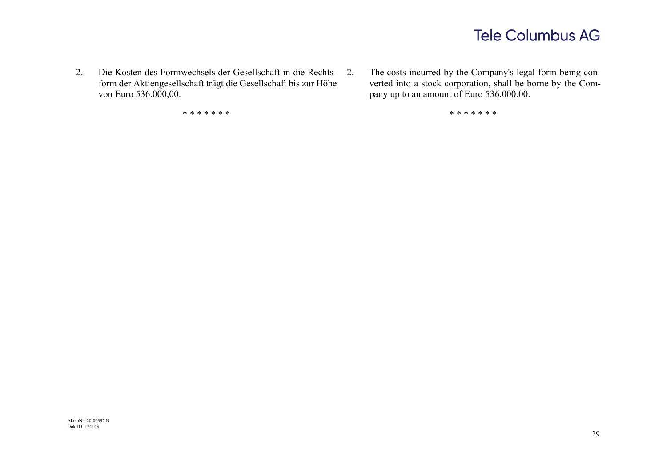2. Die Kosten des Formwechsels der Gesellschaft in die Rechtsform der Aktiengesellschaft trägt die Gesellschaft bis zur Höhe von Euro 536.000,00.

\* \* \* \* \* \* \* \* \* \* \* \* \* \*

The costs incurred by the Company's legal form being converted into a stock corporation, shall be borne by the Company up to an amount of Euro 536,000.00.